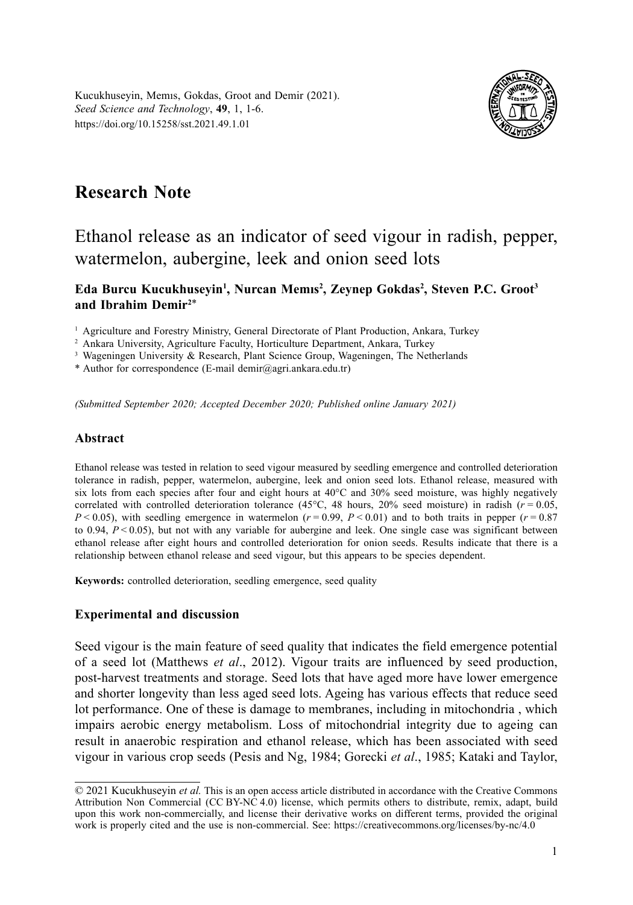Kucukhuseyin, Memıs, Gokdas, Groot and Demir (2021). *Seed Science and Technology*, **49**, 1, 1-6. https://doi.org/10.15258/sst.2021.49.1.01



# **Research Note**

# Ethanol release as an indicator of seed vigour in radish, pepper, watermelon, aubergine, leek and onion seed lots

### **Eda Burcu Kucukhuseyin1 , Nurcan Memıs<sup>2</sup> , Zeynep Gokdas2 , Steven P.C. Groot3 and Ibrahim Demir2**\*

<sup>1</sup> Agriculture and Forestry Ministry, General Directorate of Plant Production, Ankara, Turkey

<sup>2</sup> Ankara University, Agriculture Faculty, Horticulture Department, Ankara, Turkey

<sup>3</sup> Wageningen University & Research, Plant Science Group, Wageningen, The Netherlands

\* Author for correspondence (E-mail [demir@agri.ankara.edu.tr](mailto:demir@agri.ankara.edu.tr))

*(Submitted September 2020; Accepted December 2020; Published online January 2021)*

#### **Abstract**

Ethanol release was tested in relation to seed vigour measured by seedling emergence and controlled deterioration tolerance in radish, pepper, watermelon, aubergine, leek and onion seed lots. Ethanol release, measured with six lots from each species after four and eight hours at 40°C and 30% seed moisture, was highly negatively correlated with controlled deterioration tolerance (45 $^{\circ}$ C, 48 hours, 20% seed moisture) in radish ( $r = 0.05$ ,  $P < 0.05$ ), with seedling emergence in watermelon  $(r = 0.99, P < 0.01)$  and to both traits in pepper  $(r = 0.87)$ to 0.94, *P* < 0.05), but not with any variable for aubergine and leek. One single case was significant between ethanol release after eight hours and controlled deterioration for onion seeds. Results indicate that there is a relationship between ethanol release and seed vigour, but this appears to be species dependent.

**Keywords:** controlled deterioration, seedling emergence, seed quality

### **Experimental and discussion**

Seed vigour is the main feature of seed quality that indicates the field emergence potential of a seed lot (Matthews *et al*., 2012). Vigour traits are influenced by seed production, post-harvest treatments and storage. Seed lots that have aged more have lower emergence and shorter longevity than less aged seed lots. Ageing has various effects that reduce seed lot performance. One of these is damage to membranes, including in mitochondria , which impairs aerobic energy metabolism. Loss of mitochondrial integrity due to ageing can result in anaerobic respiration and ethanol release, which has been associated with seed vigour in various crop seeds (Pesis and Ng, 1984; Gorecki *et al*., 1985; Kataki and Taylor,

<sup>© 2021</sup> Kucukhuseyin *et al.* This is an open access article distributed in accordance with the Creative Commons Attribution Non Commercial (CC BY-NC 4.0) license, which permits others to distribute, remix, adapt, build upon this work non-commercially, and license their derivative works on different terms, provided the original work is properly cited and the use is non-commercial. See: https://creativecommons.org/licenses/by-nc/4.0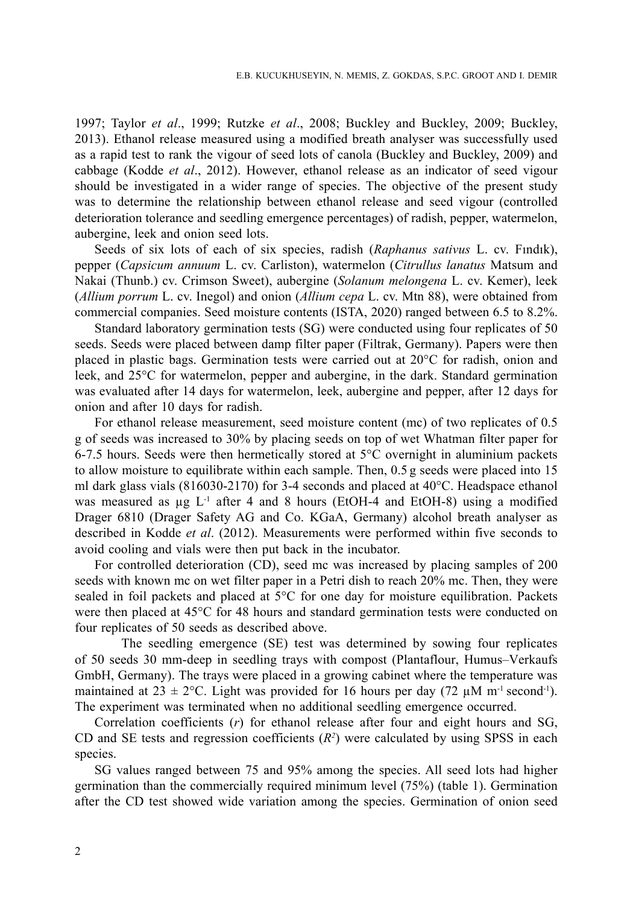1997; Taylor *et al*., 1999; Rutzke *et al*., 2008; Buckley and Buckley, 2009; Buckley, 2013). Ethanol release measured using a modified breath analyser was successfully used as a rapid test to rank the vigour of seed lots of canola (Buckley and Buckley, 2009) and cabbage (Kodde *et al*., 2012). However, ethanol release as an indicator of seed vigour should be investigated in a wider range of species. The objective of the present study was to determine the relationship between ethanol release and seed vigour (controlled deterioration tolerance and seedling emergence percentages) of radish, pepper, watermelon, aubergine, leek and onion seed lots.

Seeds of six lots of each of six species, radish (*Raphanus sativus* L. cv. Fındık), pepper (*Capsicum annuum* L. cv. Carliston), watermelon (*Citrullus lanatus* Matsum and Nakai (Thunb.) cv. Crimson Sweet), aubergine (*Solanum melongena* L. cv. Kemer), leek (*Allium porrum* L. cv. Inegol) and onion (*Allium cepa* L. cv. Mtn 88), were obtained from commercial companies. Seed moisture contents (ISTA, 2020) ranged between 6.5 to 8.2%.

Standard laboratory germination tests (SG) were conducted using four replicates of 50 seeds. Seeds were placed between damp filter paper (Filtrak, Germany). Papers were then placed in plastic bags. Germination tests were carried out at 20°C for radish, onion and leek, and 25°C for watermelon, pepper and aubergine, in the dark. Standard germination was evaluated after 14 days for watermelon, leek, aubergine and pepper, after 12 days for onion and after 10 days for radish.

For ethanol release measurement, seed moisture content (mc) of two replicates of 0.5 g of seeds was increased to 30% by placing seeds on top of wet Whatman filter paper for 6-7.5 hours. Seeds were then hermetically stored at 5°C overnight in aluminium packets to allow moisture to equilibrate within each sample. Then, 0.5 g seeds were placed into 15 ml dark glass vials (816030-2170) for 3-4 seconds and placed at 40°C. Headspace ethanol was measured as  $\mu$ g L<sup>-1</sup> after 4 and 8 hours (EtOH-4 and EtOH-8) using a modified Drager 6810 (Drager Safety AG and Co. KGaA, Germany) alcohol breath analyser as described in Kodde *et al*. (2012). Measurements were performed within five seconds to avoid cooling and vials were then put back in the incubator.

For controlled deterioration (CD), seed mc was increased by placing samples of 200 seeds with known mc on wet filter paper in a Petri dish to reach 20% mc. Then, they were sealed in foil packets and placed at 5°C for one day for moisture equilibration. Packets were then placed at 45°C for 48 hours and standard germination tests were conducted on four replicates of 50 seeds as described above.

The seedling emergence (SE) test was determined by sowing four replicates of 50 seeds 30 mm-deep in seedling trays with compost (Plantaflour, Humus–Verkaufs GmbH, Germany). The trays were placed in a growing cabinet where the temperature was maintained at  $23 \pm 2$ °C. Light was provided for 16 hours per day (72 µM m<sup>-1</sup> second<sup>-1</sup>). The experiment was terminated when no additional seedling emergence occurred.

Correlation coefficients (*r*) for ethanol release after four and eight hours and SG, CD and SE tests and regression coefficients  $(R^2)$  were calculated by using SPSS in each species.

SG values ranged between 75 and 95% among the species. All seed lots had higher germination than the commercially required minimum level (75%) (table 1). Germination after the CD test showed wide variation among the species. Germination of onion seed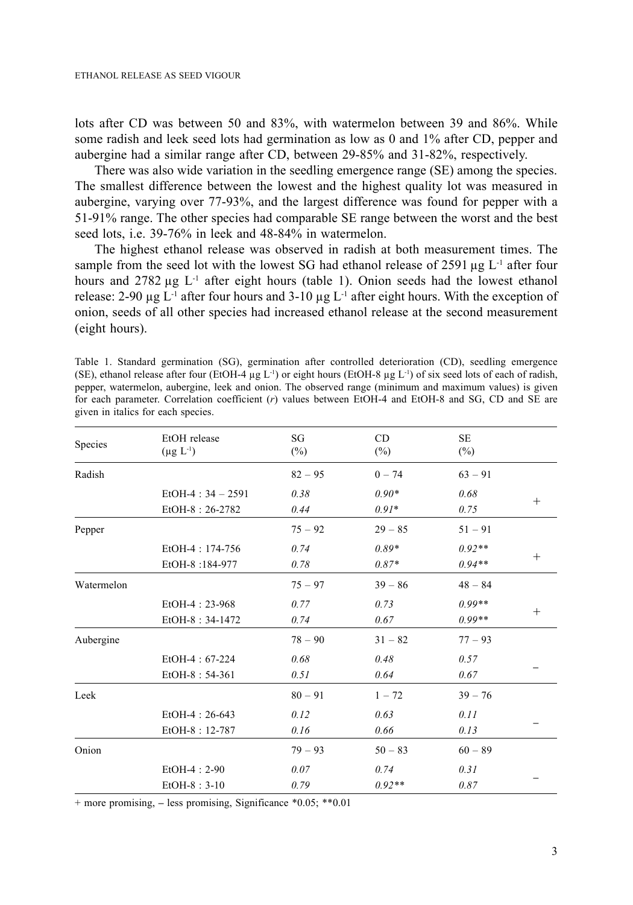lots after CD was between 50 and 83%, with watermelon between 39 and 86%. While some radish and leek seed lots had germination as low as 0 and 1% after CD, pepper and aubergine had a similar range after CD, between 29-85% and 31-82%, respectively.

There was also wide variation in the seedling emergence range (SE) among the species. The smallest difference between the lowest and the highest quality lot was measured in aubergine, varying over 77-93%, and the largest difference was found for pepper with a 51-91% range. The other species had comparable SE range between the worst and the best seed lots, i.e. 39-76% in leek and 48-84% in watermelon.

The highest ethanol release was observed in radish at both measurement times. The sample from the seed lot with the lowest SG had ethanol release of 2591  $\mu$ g L<sup>-1</sup> after four hours and  $2782 \mu g$  L<sup>-1</sup> after eight hours (table 1). Onion seeds had the lowest ethanol release: 2-90  $\mu$ g L<sup>-1</sup> after four hours and 3-10  $\mu$ g L<sup>-1</sup> after eight hours. With the exception of onion, seeds of all other species had increased ethanol release at the second measurement (eight hours).

| Species    | EtOH release<br>$(\mu g L^{-1})$ | SG<br>$(\%)$ | <b>CD</b><br>$(\%)$ | <b>SE</b><br>$(\%)$ |        |
|------------|----------------------------------|--------------|---------------------|---------------------|--------|
| Radish     |                                  | $82 - 95$    | $0 - 74$            | $63 - 91$           |        |
|            | $EtOH-4$ : 34 - 2591             | 0.38         | $0.90*$             | 0.68                |        |
|            | EtOH-8: 26-2782                  | 0.44         | $0.91*$             | 0.75                | $^{+}$ |
| Pepper     |                                  | $75 - 92$    | $29 - 85$           | $51 - 91$           |        |
|            | EtOH-4: 174-756                  | 0.74         | $0.89*$             | $0.92**$            |        |
|            | EtOH-8:184-977                   | 0.78         | $0.87*$             | $0.94**$            | $^{+}$ |
| Watermelon |                                  | $75 - 97$    | $39 - 86$           | $48 - 84$           |        |
|            | EtOH-4: 23-968                   | 0.77         | 0.73                | $0.99**$            |        |
|            | EtOH-8: 34-1472                  | 0.74         | 0.67                | $0.99**$            | $^{+}$ |
| Aubergine  |                                  | $78 - 90$    | $31 - 82$           | $77 - 93$           |        |
|            | EtOH-4: 67-224                   | 0.68         | 0.48                | 0.57                |        |
|            | EtOH-8: 54-361                   | 0.51         | 0.64                | 0.67                |        |
| Leek       |                                  | $80 - 91$    | $1 - 72$            | $39 - 76$           |        |
|            | $EtOH-4: 26-643$                 | 0.12         | 0.63                | 0.11                |        |
|            | EtOH-8: 12-787                   | 0.16         | 0.66                | 0.13                |        |
| Onion      |                                  | $79 - 93$    | $50 - 83$           | $60 - 89$           |        |
|            | $EtOH-4:2-90$                    | 0.07         | 0.74                | 0.31                |        |
|            | $EtOH-8:3-10$                    | 0.79         | $0.92**$            | 0.87                |        |

Table 1. Standard germination (SG), germination after controlled deterioration (CD), seedling emergence (SE), ethanol release after four (EtOH-4  $\mu$ g L<sup>-1</sup>) or eight hours (EtOH-8  $\mu$ g L<sup>-1</sup>) of six seed lots of each of radish, pepper, watermelon, aubergine, leek and onion. The observed range (minimum and maximum values) is given for each parameter. Correlation coefficient (*r*) values between EtOH-4 and EtOH-8 and SG, CD and SE are given in italics for each species.

+ more promising, **–** less promising, Significance \*0.05; \*\*0.01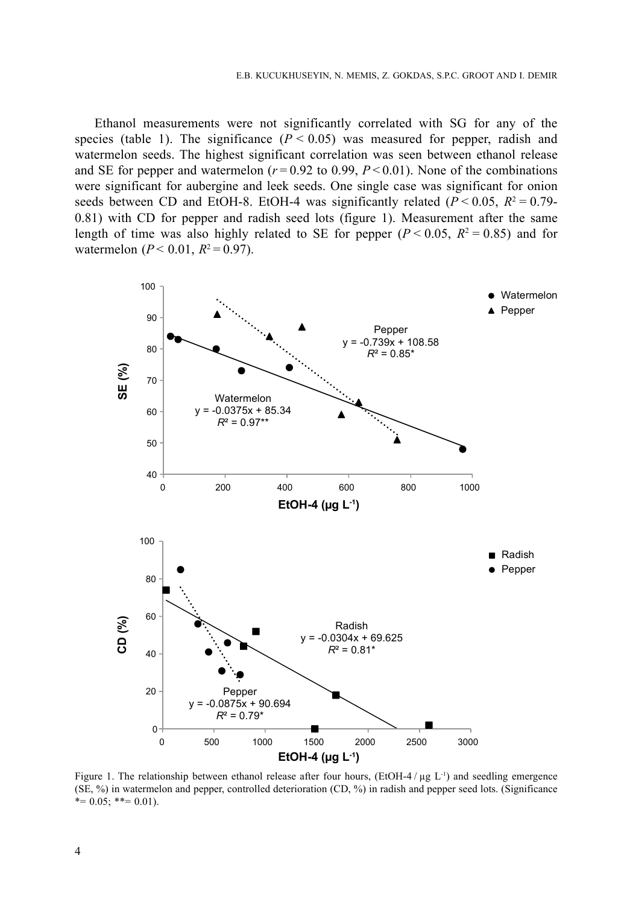Ethanol measurements were not significantly correlated with SG for any of the species (table 1). The significance  $(P < 0.05)$  was measured for pepper, radish and watermelon seeds. The highest significant correlation was seen between ethanol release and SE for pepper and watermelon  $(r=0.92 \text{ to } 0.99, P<0.01)$ . None of the combinations were significant for aubergine and leek seeds. One single case was significant for onion seeds between CD and EtOH-8. EtOH-4 was significantly related ( $P < 0.05$ ,  $R^2 = 0.79$ -0.81) with CD for pepper and radish seed lots (figure 1). Measurement after the same length of time was also highly related to SE for pepper  $(P < 0.05, R^2 = 0.85)$  and for watermelon ( $P < 0.01$ ,  $R^2 = 0.97$ ).



Figure 1. The relationship between ethanol release after four hours, (EtOH-4/µg L<sup>-1</sup>) and seedling emergence (SE, %) in watermelon and pepper, controlled deterioration (CD, %) in radish and pepper seed lots. (Significance  $*= 0.05$ ; \*\*= 0.01).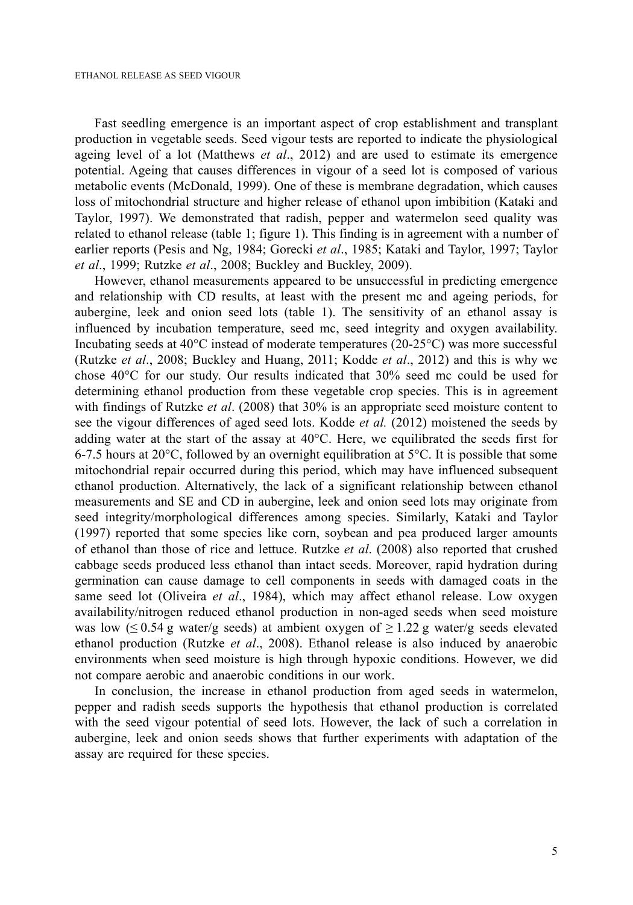Fast seedling emergence is an important aspect of crop establishment and transplant production in vegetable seeds. Seed vigour tests are reported to indicate the physiological ageing level of a lot (Matthews *et al*., 2012) and are used to estimate its emergence potential. Ageing that causes differences in vigour of a seed lot is composed of various metabolic events (McDonald, 1999). One of these is membrane degradation, which causes loss of mitochondrial structure and higher release of ethanol upon imbibition (Kataki and Taylor, 1997). We demonstrated that radish, pepper and watermelon seed quality was related to ethanol release (table 1; figure 1). This finding is in agreement with a number of earlier reports (Pesis and Ng, 1984; Gorecki *et al*., 1985; Kataki and Taylor, 1997; Taylor *et al*., 1999; Rutzke *et al*., 2008; Buckley and Buckley, 2009).

However, ethanol measurements appeared to be unsuccessful in predicting emergence and relationship with CD results, at least with the present mc and ageing periods, for aubergine, leek and onion seed lots (table 1). The sensitivity of an ethanol assay is influenced by incubation temperature, seed mc, seed integrity and oxygen availability. Incubating seeds at 40°C instead of moderate temperatures (20-25°C) was more successful (Rutzke *et al*., 2008; Buckley and Huang, 2011; Kodde *et al*., 2012) and this is why we chose 40°C for our study. Our results indicated that 30% seed mc could be used for determining ethanol production from these vegetable crop species. This is in agreement with findings of Rutzke *et al*. (2008) that 30% is an appropriate seed moisture content to see the vigour differences of aged seed lots. Kodde *et al.* (2012) moistened the seeds by adding water at the start of the assay at  $40^{\circ}$ C. Here, we equilibrated the seeds first for 6-7.5 hours at 20 $^{\circ}$ C, followed by an overnight equilibration at 5 $^{\circ}$ C. It is possible that some mitochondrial repair occurred during this period, which may have influenced subsequent ethanol production. Alternatively, the lack of a significant relationship between ethanol measurements and SE and CD in aubergine, leek and onion seed lots may originate from seed integrity/morphological differences among species. Similarly, Kataki and Taylor (1997) reported that some species like corn, soybean and pea produced larger amounts of ethanol than those of rice and lettuce. Rutzke *et al*. (2008) also reported that crushed cabbage seeds produced less ethanol than intact seeds. Moreover, rapid hydration during germination can cause damage to cell components in seeds with damaged coats in the same seed lot (Oliveira *et al*., 1984), which may affect ethanol release. Low oxygen availability/nitrogen reduced ethanol production in non-aged seeds when seed moisture was low ( $\leq$  0.54 g water/g seeds) at ambient oxygen of  $\geq$  1.22 g water/g seeds elevated ethanol production (Rutzke *et al*., 2008). Ethanol release is also induced by anaerobic environments when seed moisture is high through hypoxic conditions. However, we did not compare aerobic and anaerobic conditions in our work.

In conclusion, the increase in ethanol production from aged seeds in watermelon, pepper and radish seeds supports the hypothesis that ethanol production is correlated with the seed vigour potential of seed lots. However, the lack of such a correlation in aubergine, leek and onion seeds shows that further experiments with adaptation of the assay are required for these species.